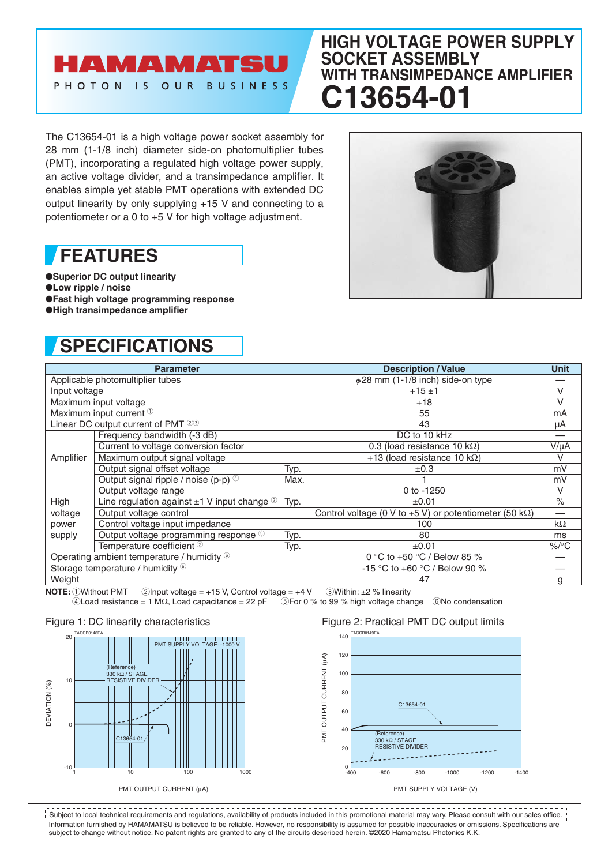### **AMAMATS** PHOTON IS OUR BUSINESS

### **HIGH VOLTAGE POWER SUPPLY SOCKET ASSEMBLY WITH TRANSIMPEDANCE AMPLIFIER C13654**

The C13654-01 is a high voltage power socket assembly for 28 mm (1-1/8 inch) diameter side-on photomultiplier tubes (PMT), incorporating a regulated high voltage power supply, an active voltage divider, and a transimpedance amplifier. It enables simple yet stable PMT operations with extended DC output linearity by only supplying +15 V and connecting to a potentiometer or a 0 to +5 V for high voltage adjustment.

## **FEATURES**

●**Superior DC output linearity** ●**Low ripple / noise** ●**Fast high voltage programming response** ●**High transimpedance amplifier**

# **SPECIFICATIONS**



| <b>Parameter</b>                           |                                                               |      | <b>Description / Value</b>                                      | Unit      |
|--------------------------------------------|---------------------------------------------------------------|------|-----------------------------------------------------------------|-----------|
| Applicable photomultiplier tubes           |                                                               |      | $\phi$ 28 mm (1-1/8 inch) side-on type                          |           |
| Input voltage                              |                                                               |      | $+15±1$                                                         | V         |
| Maximum input voltage                      |                                                               |      | $+18$                                                           | V         |
| Maximum input current <sup>1</sup>         |                                                               |      | 55                                                              | mA        |
| Linear DC output current of PMT 23         |                                                               |      | 43                                                              | μA        |
| Amplifier                                  | Frequency bandwidth (-3 dB)                                   |      | DC to 10 kHz                                                    |           |
|                                            | Current to voltage conversion factor                          |      | 0.3 (load resistance 10 k $\Omega$ )                            | $V/\mu A$ |
|                                            | Maximum output signal voltage                                 |      | +13 (load resistance 10 k $\Omega$ )                            | V         |
|                                            | Output signal offset voltage                                  | Typ. | $\pm 0.3$                                                       | mV        |
|                                            | Output signal ripple / noise (p-p) 4                          | Max. |                                                                 | mV        |
|                                            | Output voltage range                                          |      | 0 to $-1250$                                                    | V         |
| High                                       | Line regulation against $\pm 1$ V input change $\circledcirc$ | Typ. | $\pm 0.01$                                                      | $\%$      |
| voltage                                    | Output voltage control                                        |      | Control voltage (0 V to +5 V) or potentiometer (50 k $\Omega$ ) | —         |
| power                                      | Control voltage input impedance                               |      | 100                                                             | $k\Omega$ |
| supply                                     | Output voltage programming response 5                         | Typ. | 80                                                              | ms        |
|                                            | Temperature coefficient 2                                     | Typ. | $\pm 0.01$                                                      | $\%$ /°C  |
| Operating ambient temperature / humidity 6 |                                                               |      | 0 °C to +50 °C / Below 85 %                                     |           |
| Storage temperature / humidity 6           |                                                               |      | -15 °C to +60 °C / Below 90 %                                   |           |
| Weight                                     |                                                               |      | 47                                                              | a         |

**NOTE:**  $\overline{0}$ Without PMT 2Input voltage = +15 V, Control voltage = +4 V 3Within: ±2 % linearity<br>
4Load resistance = 1 MΩ, Load capacitance = 22 pF 5For 0 % to 99 % high voltage chai

 $\textcircled{\textsc{i}}$  For 0 % to 99 % high voltage change  $\textcircled{\textsc{i}}$  6No condensation

#### Figure 1: DC linearity characteristics



### Figure 2: Practical PMT DC output limits



PMT SUPPLY VOLTAGE (V)

Information furnished by HAMAMATSU is believed to be reliable. However, no responsibility is assumed for possible inaccuracies or omissions. Specifications are subject to change without notice. No patent rights are granted to any of the circuits described herein. ©2020 Hamamatsu Photonics K.K. Subject to local technical requirements and regulations, availability of products included in this promotional material may vary. Please consult with our sales office.

PMT OUTPUT CURRENT (μA)